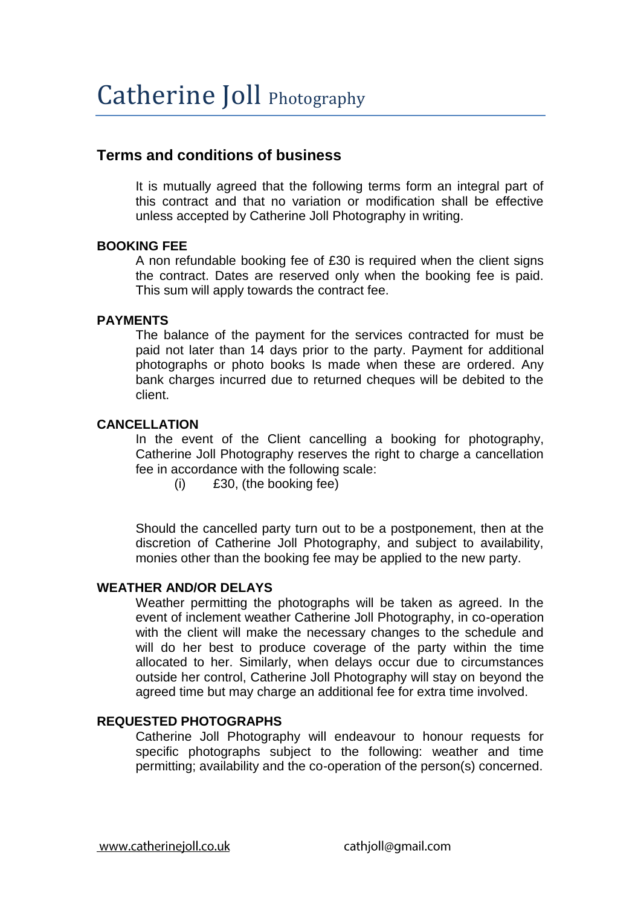## **Terms and conditions of business**

It is mutually agreed that the following terms form an integral part of this contract and that no variation or modification shall be effective unless accepted by Catherine Joll Photography in writing.

## **BOOKING FEE**

A non refundable booking fee of £30 is required when the client signs the contract. Dates are reserved only when the booking fee is paid. This sum will apply towards the contract fee.

## **PAYMENTS**

The balance of the payment for the services contracted for must be paid not later than 14 days prior to the party. Payment for additional photographs or photo books Is made when these are ordered. Any bank charges incurred due to returned cheques will be debited to the client.

## **CANCELLATION**

In the event of the Client cancelling a booking for photography, Catherine Joll Photography reserves the right to charge a cancellation fee in accordance with the following scale:

(i) £30, (the booking fee)

Should the cancelled party turn out to be a postponement, then at the discretion of Catherine Joll Photography, and subject to availability, monies other than the booking fee may be applied to the new party.

## **WEATHER AND/OR DELAYS**

Weather permitting the photographs will be taken as agreed. In the event of inclement weather Catherine Joll Photography, in co-operation with the client will make the necessary changes to the schedule and will do her best to produce coverage of the party within the time allocated to her. Similarly, when delays occur due to circumstances outside her control, Catherine Joll Photography will stay on beyond the agreed time but may charge an additional fee for extra time involved.

## **REQUESTED PHOTOGRAPHS**

Catherine Joll Photography will endeavour to honour requests for specific photographs subject to the following: weather and time permitting; availability and the co-operation of the person(s) concerned.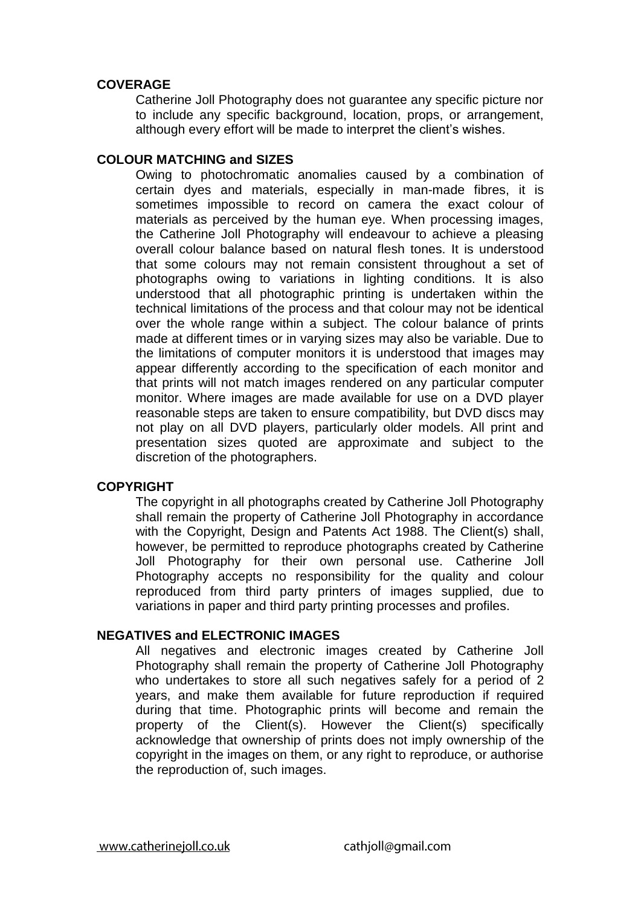## **COVERAGE**

Catherine Joll Photography does not guarantee any specific picture nor to include any specific background, location, props, or arrangement, although every effort will be made to interpret the client's wishes.

## **COLOUR MATCHING and SIZES**

Owing to photochromatic anomalies caused by a combination of certain dyes and materials, especially in man-made fibres, it is sometimes impossible to record on camera the exact colour of materials as perceived by the human eye. When processing images, the Catherine Joll Photography will endeavour to achieve a pleasing overall colour balance based on natural flesh tones. It is understood that some colours may not remain consistent throughout a set of photographs owing to variations in lighting conditions. It is also understood that all photographic printing is undertaken within the technical limitations of the process and that colour may not be identical over the whole range within a subject. The colour balance of prints made at different times or in varying sizes may also be variable. Due to the limitations of computer monitors it is understood that images may appear differently according to the specification of each monitor and that prints will not match images rendered on any particular computer monitor. Where images are made available for use on a DVD player reasonable steps are taken to ensure compatibility, but DVD discs may not play on all DVD players, particularly older models. All print and presentation sizes quoted are approximate and subject to the discretion of the photographers.

#### **COPYRIGHT**

The copyright in all photographs created by Catherine Joll Photography shall remain the property of Catherine Joll Photography in accordance with the Copyright, Design and Patents Act 1988. The Client(s) shall, however, be permitted to reproduce photographs created by Catherine Joll Photography for their own personal use. Catherine Joll Photography accepts no responsibility for the quality and colour reproduced from third party printers of images supplied, due to variations in paper and third party printing processes and profiles.

#### **NEGATIVES and ELECTRONIC IMAGES**

All negatives and electronic images created by Catherine Joll Photography shall remain the property of Catherine Joll Photography who undertakes to store all such negatives safely for a period of 2 years, and make them available for future reproduction if required during that time. Photographic prints will become and remain the property of the Client(s). However the Client(s) specifically acknowledge that ownership of prints does not imply ownership of the copyright in the images on them, or any right to reproduce, or authorise the reproduction of, such images.